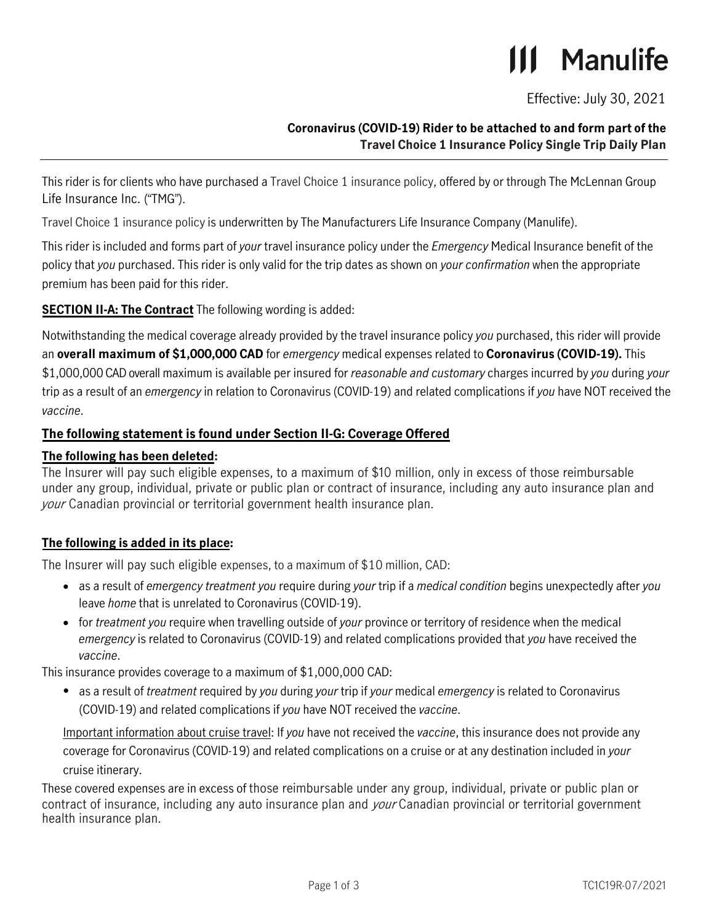# **111 Manulife**

Effective: July 30, 2021

# **Coronavirus (COVID-19) Rider to be attached to and form part of the Travel Choice 1 Insurance Policy Single Trip Daily Plan**

This rider is for clients who have purchased a Travel Choice 1 insurance policy, offered by or through The McLennan Group Life Insurance Inc. ("TMG").

Travel Choice 1 insurance policy is underwritten by The Manufacturers Life Insurance Company (Manulife).

This rider is included and forms part of *your* travel insurance policy under the *Emergency* Medical Insurance benefit of the policy that *you* purchased. This rider is only valid for the trip dates as shown on *your confirmation* when the appropriate premium has been paid for this rider.

**SECTION II-A: The Contract** The following wording is added:

Notwithstanding the medical coverage already provided by the travel insurance policy *you* purchased, this rider will provide an **overall maximum of \$1,000,000 CAD** for *emergency* medical expenses related to **Coronavirus (COVID-19).** This \$1,000,000 CAD overall maximum is available per insured for *reasonable and customary* charges incurred by *you* during *your* trip as a result of an *emergency* in relation to Coronavirus (COVID-19) and related complications if *you* have NOT received the *vaccine*.

# **The following statement is found under Section II-G: Coverage Offered**

## **The following has been deleted:**

The Insurer will pay such eligible expenses, to a maximum of \$10 million, only in excess of those reimbursable under any group, individual, private or public plan or contract of insurance, including any auto insurance plan and your Canadian provincial or territorial government health insurance plan.

# **The following is added in its place:**

The Insurer will pay such eligible expenses, to a maximum of \$10 million, CAD:

- as a result of *emergency treatment you* require during *your* trip if a *medical condition* begins unexpectedly after *you* leave *home* that is unrelated to Coronavirus (COVID-19).
- for *treatment you* require when travelling outside of *your* province or territory of residence when the medical *emergency* is related to Coronavirus (COVID-19) and related complications provided that *you* have received the *vaccine*.

This insurance provides coverage to a maximum of \$1,000,000 CAD:

• as a result of *treatment* required by *you* during *your* trip if *your* medical *emergency* is related to Coronavirus (COVID-19) and related complications if *you* have NOT received the *vaccine*.

Important information about cruise travel: If *you* have not received the *vaccine*, this insurance does not provide any coverage for Coronavirus (COVID-19) and related complications on a cruise or at any destination included in *your* cruise itinerary.

These covered expenses are in excess of those reimbursable under any group, individual, private or public plan or contract of insurance, including any auto insurance plan and *your* Canadian provincial or territorial government health insurance plan.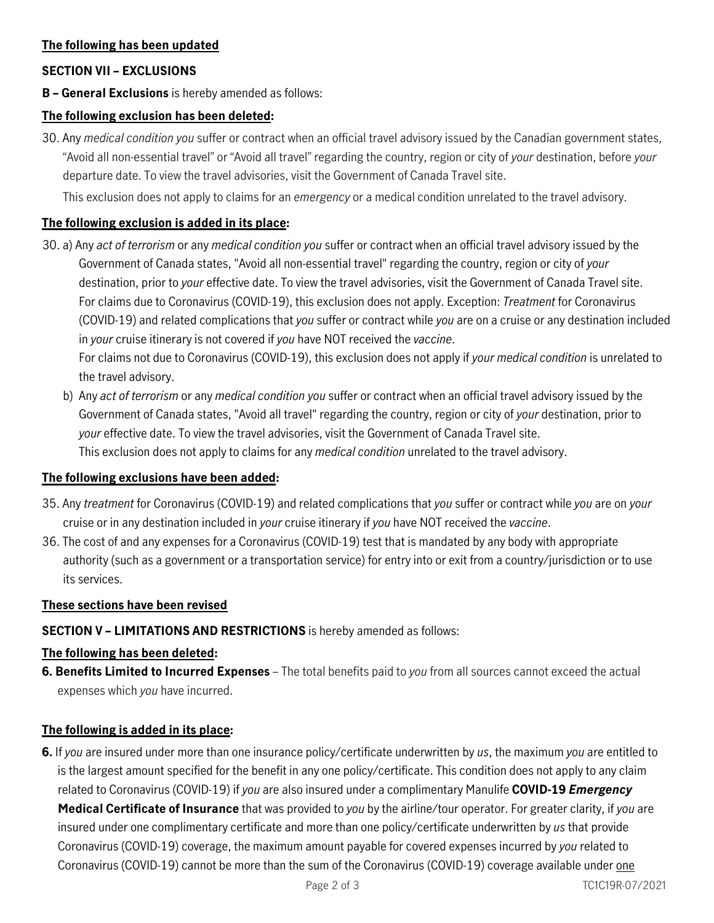## **The following has been updated**

## **SECTION VII – EXCLUSIONS**

**B – General Exclusions** is hereby amended as follows:

### **The following exclusion has been deleted:**

30. Any *medical condition you* suffer or contract when an official travel advisory issued by the Canadian government states, "Avoid all non-essential travel" or "Avoid all travel" regarding the country, region or city of *your* destination, before *your* departure date. To view the travel advisories, visit the Government of Canada Travel site.

This exclusion does not apply to claims for an *emergency* or a medical condition unrelated to the travel advisory.

#### **The following exclusion is added in its place:**

- 30. a) Any *act of terrorism* or any *medical condition you* suffer or contract when an official travel advisory issued by the Government of Canada states, "Avoid all non-essential travel" regarding the country, region or city of *your* destination, prior to *your* effective date. To view the travel advisories, visit the Government of Canada Travel site. For claims due to Coronavirus (COVID-19), this exclusion does not apply. Exception: *Treatment* for Coronavirus (COVID-19) and related complications that *you* suffer or contract while *you* are on a cruise or any destination included in *your* cruise itinerary is not covered if *you* have NOT received the *vaccine*. For claims not due to Coronavirus (COVID-19), this exclusion does not apply if *your medical condition* is unrelated to the travel advisory.
	- b) Any *act of terrorism* or any *medical condition you* suffer or contract when an official travel advisory issued by the Government of Canada states, "Avoid all travel" regarding the country, region or city of *your* destination, prior to *your* effective date. To view the travel advisories, visit the Government of Canada Travel site. This exclusion does not apply to claims for any *medical condition* unrelated to the travel advisory.

#### **The following exclusions have been added:**

- 35. Any *treatment* for Coronavirus (COVID-19) and related complications that *you* suffer or contract while *you* are on *your* cruise or in any destination included in *your* cruise itinerary if *you* have NOT received the *vaccine*.
- 36. The cost of and any expenses for a Coronavirus (COVID-19) test that is mandated by any body with appropriate authority (such as a government or a transportation service) for entry into or exit from a country/jurisdiction or to use its services.

#### **These sections have been revised**

## **SECTION V – LIMITATIONS AND RESTRICTIONS** is hereby amended as follows:

#### **The following has been deleted:**

**6. Benefits Limited to Incurred Expenses** – The total benefits paid to *you* from all sources cannot exceed the actual expenses which *you* have incurred.

#### **The following is added in its place:**

**6.** If *you* are insured under more than one insurance policy/certificate underwritten by *us*, the maximum *you* are entitled to is the largest amount specified for the benefit in any one policy/certificate. This condition does not apply to any claim related to Coronavirus (COVID-19) if *you* are also insured under a complimentary Manulife **COVID-19** *Emergency* **Medical Certificate of Insurance** that was provided to *you* by the airline/tour operator. For greater clarity, if *you* are insured under one complimentary certificate and more than one policy/certificate underwritten by *us* that provide Coronavirus (COVID-19) coverage, the maximum amount payable for covered expenses incurred by *you* related to Coronavirus (COVID-19) cannot be more than the sum of the Coronavirus (COVID-19) coverage available under one